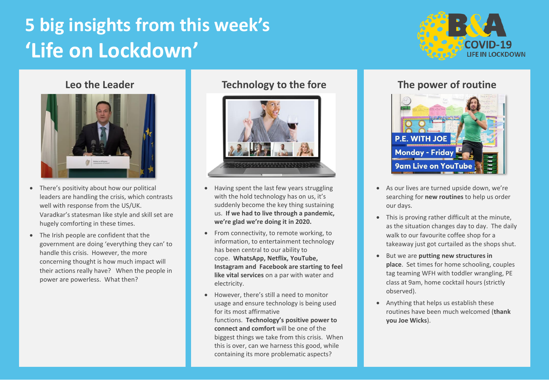# **5 big insights from this week's 'Life on Lockdown'**





- There's positivity about how our political leaders are handling the crisis, which contrasts well with response from the US/UK. Varadkar's statesman like style and skill set are hugely comforting in these times.
- The Irish people are confident that the government are doing 'everything they can' to handle this crisis. However, the more concerning thought is how much impact will their actions really have? When the people in power are powerless. What then?

### **Leo the Leader Technology to the fore The power of routine**



- Having spent the last few years struggling with the hold technology has on us, it's suddenly become the key thing sustaining us. **If we had to live through a pandemic, we're glad we're doing it in 2020.**
- From connectivity, to remote working, to information, to entertainment technology has been central to our ability to cope. **WhatsApp, Netflix, YouTube, Instagram and Facebook are starting to feel like vital services** on a par with water and electricity.
- However, there's still a need to monitor usage and ensure technology is being used for its most affirmative functions. **Technology's positive power to connect and comfort** will be one of the biggest things we take from this crisis. When this is over, can we harness this good, while containing its more problematic aspects?



- As our lives are turned upside down, we're searching for **new routines** to help us order our days.
- This is proving rather difficult at the minute, as the situation changes day to day. The daily walk to our favourite coffee shop for a takeaway just got curtailed as the shops shut.
- But we are **putting new structures in place**. Set times for home schooling, couples tag teaming WFH with toddler wrangling, PE class at 9am, home cocktail hours (strictly observed).
- Anything that helps us establish these routines have been much welcomed (**thank you Joe Wicks**).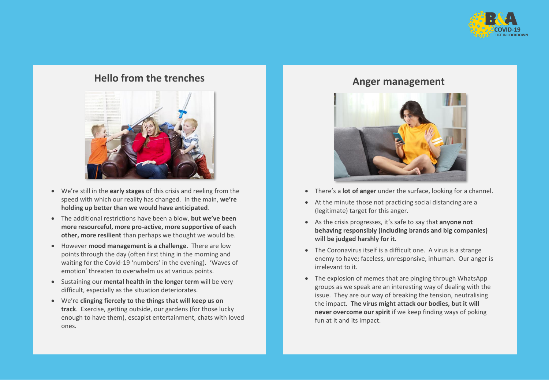

## **Hello from the trenches Anger management**



- We're still in the **early stages** of this crisis and reeling from the speed with which our reality has changed. In the main, **we're holding up better than we would have anticipated**.
- The additional restrictions have been a blow, **but we've been more resourceful, more pro-active, more supportive of each other, more resilient** than perhaps we thought we would be.
- However **mood management is a challenge**. There are low points through the day (often first thing in the morning and waiting for the Covid-19 'numbers' in the evening). 'Waves of emotion' threaten to overwhelm us at various points.
- Sustaining our **mental health in the longer term** will be very difficult, especially as the situation deteriorates.
- We're **clinging fiercely to the things that will keep us on track**. Exercise, getting outside, our gardens (for those lucky enough to have them), escapist entertainment, chats with loved ones.



- There's a **lot of anger** under the surface, looking for a channel.
- At the minute those not practicing social distancing are a (legitimate) target for this anger.
- As the crisis progresses, it's safe to say that **anyone not behaving responsibly (including brands and big companies) will be judged harshly for it.**
- The Coronavirus itself is a difficult one. A virus is a strange enemy to have; faceless, unresponsive, inhuman. Our anger is irrelevant to it.
- The explosion of memes that are pinging through WhatsApp groups as we speak are an interesting way of dealing with the issue. They are our way of breaking the tension, neutralising the impact. **The virus might attack our bodies, but it will never overcome our spirit** if we keep finding ways of poking fun at it and its impact.